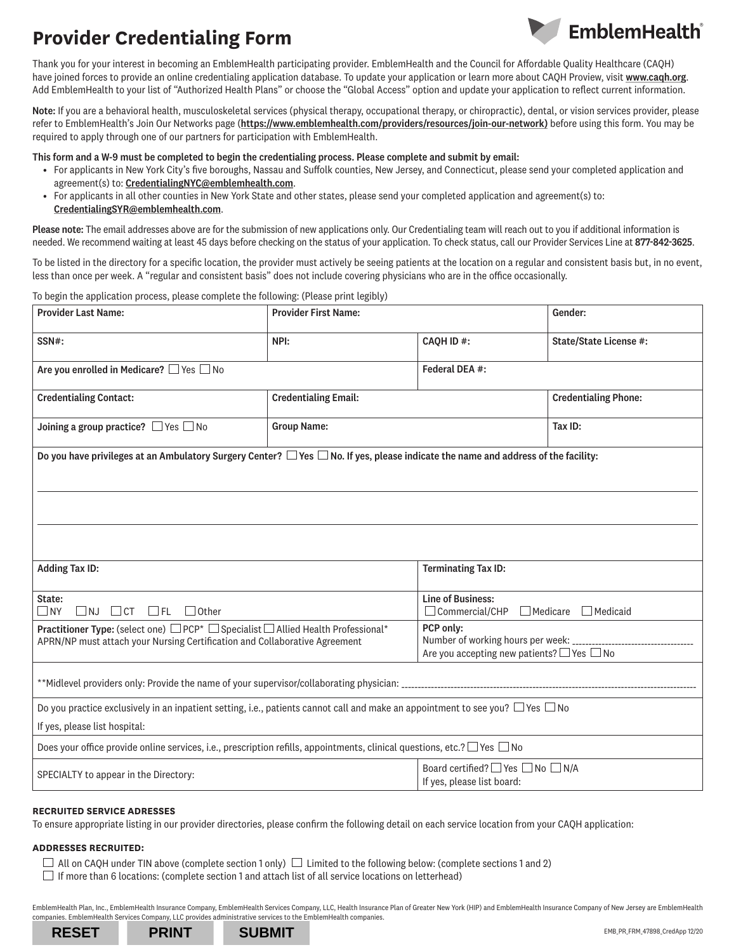

Thank you for your interest in becoming an EmblemHealth participating provider. EmblemHealth and the Council for Affordable Quality Healthcare (CAQH) have joined forces to provide an online credentialing application database. To update your application or learn more about CAQH Proview, visit [www.caqh.org](http://www.caqh.org). Add EmblemHealth to your list of "Authorized Health Plans" or choose the "Global Access" option and update your application to reflect current information.

Note: If you are a behavioral health, musculoskeletal services (physical therapy, occupational therapy, or chiropractic), dental, or vision services provider, please refer to EmblemHealth's Join Our Networks page ([https://www.emblemhealth.com/providers/resources/join-our-network\)](https://www.emblemhealth.com/providers/resources/join-our-network ) before using this form. You may be required to apply through one of our partners for participation with EmblemHealth.

This form and a W-9 must be completed to begin the credentialing process. Please complete and submit by email:

- For applicants in New York City's five boroughs, Nassau and Suffolk counties, New Jersey, and Connecticut, please send your completed application and agreement(s) to: CredentialingNYC@emblemhealth.com.
- For applicants in all other counties in New York State and other states, please send your completed application and agreement(s) to: CredentialingSYR@emblemhealth.com.

Please note: The email addresses above are for the submission of new applications only. Our Credentialing team will reach out to you if additional information is needed. We recommend waiting at least 45 days before checking on the status of your application. To check status, call our Provider Services Line at 877-842-3625.

To be listed in the directory for a specific location, the provider must actively be seeing patients at the location on a regular and consistent basis but, in no event, less than once per week. A "regular and consistent basis" does not include covering physicians who are in the office occasionally.

To begin the application process, please complete the following: (Please print legibly)

| <b>Provider Last Name:</b>                                                                                                                                      | <b>Provider First Name:</b> |                                                                                                                            | Gender:                     |  |  |
|-----------------------------------------------------------------------------------------------------------------------------------------------------------------|-----------------------------|----------------------------------------------------------------------------------------------------------------------------|-----------------------------|--|--|
| SSN#:                                                                                                                                                           | NPI:                        | <b>CAOH ID#:</b>                                                                                                           | State/State License #:      |  |  |
| Are you enrolled in Medicare? □ Yes □ No                                                                                                                        |                             | Federal DEA #:                                                                                                             |                             |  |  |
| <b>Credentialing Contact:</b>                                                                                                                                   | <b>Credentialing Email:</b> |                                                                                                                            | <b>Credentialing Phone:</b> |  |  |
| Joining a group practice? $\Box$ Yes $\Box$ No                                                                                                                  | <b>Group Name:</b>          |                                                                                                                            | Tax ID:                     |  |  |
| Do you have privileges at an Ambulatory Surgery Center? $\Box$ Yes $\Box$ No. If yes, please indicate the name and address of the facility:                     |                             |                                                                                                                            |                             |  |  |
| <b>Adding Tax ID:</b>                                                                                                                                           |                             | <b>Terminating Tax ID:</b>                                                                                                 |                             |  |  |
| State:<br>$\Box$ CT $\Box$ FL<br>$\Box$ Other<br>$\Box$ NJ<br>$\Box$ NY                                                                                         |                             | <b>Line of Business:</b><br>$\Box$ Commercial/CHP<br>$\Box$ Medicare<br>$\Box$ Medicaid                                    |                             |  |  |
| Practitioner Type: (select one) □ PCP* □ Specialist □ Allied Health Professional*<br>APRN/NP must attach your Nursing Certification and Collaborative Agreement |                             | PCP only:<br>Number of working hours per week: _____________________________<br>Are you accepting new patients? □ Yes □ No |                             |  |  |
|                                                                                                                                                                 |                             |                                                                                                                            |                             |  |  |
| Do you practice exclusively in an inpatient setting, i.e., patients cannot call and make an appointment to see you? $\Box$ Yes $\Box$ No                        |                             |                                                                                                                            |                             |  |  |
| If yes, please list hospital:                                                                                                                                   |                             |                                                                                                                            |                             |  |  |
| Does your office provide online services, i.e., prescription refills, appointments, clinical questions, etc.? $\Box$ Yes $\Box$ No                              |                             |                                                                                                                            |                             |  |  |
| SPECIALTY to appear in the Directory:                                                                                                                           |                             | Board certified? ■ Yes ■ No ■ N/A<br>If yes, please list board:                                                            |                             |  |  |

#### **RECRUITED SERVICE ADRESSES**

To ensure appropriate listing in our provider directories, please confirm the following detail on each service location from your CAQH application:

#### **ADDRESSES RECRUITED:**

- $\Box$  All on CAQH under TIN above (complete section 1 only)  $\Box$  Limited to the following below: (complete sections 1 and 2)
- $\Box$  If more than 6 locations: (complete section 1 and attach list of all service locations on letterhead)

EmblemHealth Plan, Inc., EmblemHealth Insurance Company, EmblemHealth Services Company, LLC, Health Insurance Plan of Greater New York (HIP) and EmblemHealth Insurance Company of New Jersey are EmblemHealth companies. EmblemHealth Services Company, LLC provides administrative services to the EmblemHealth companies.

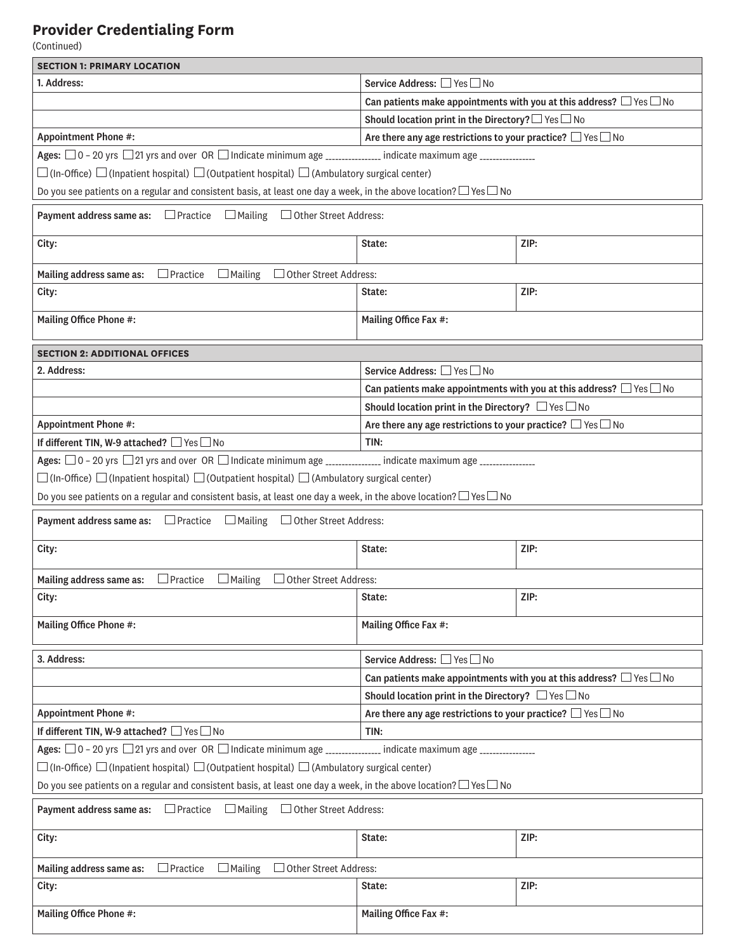(Continued)

| <b>SECTION 1: PRIMARY LOCATION</b>                                                                                                           |                                                                       |                                                                               |  |  |
|----------------------------------------------------------------------------------------------------------------------------------------------|-----------------------------------------------------------------------|-------------------------------------------------------------------------------|--|--|
| 1. Address:                                                                                                                                  | Service Address: □ Yes □ No                                           |                                                                               |  |  |
|                                                                                                                                              |                                                                       | Can patients make appointments with you at this address? $\Box$ Yes $\Box$ No |  |  |
|                                                                                                                                              | Should location print in the Directory? $\Box$ Yes $\Box$ No          |                                                                               |  |  |
| <b>Appointment Phone #:</b>                                                                                                                  | Are there any age restrictions to your practice? $\Box$ Yes $\Box$ No |                                                                               |  |  |
| Ages: $\Box$ 0 - 20 yrs $\Box$ 21 yrs and over OR $\Box$ Indicate minimum age _____________________ indicate maximum age ___________________ |                                                                       |                                                                               |  |  |
| $\Box$ (In-Office) $\Box$ (Inpatient hospital) $\Box$ (Outpatient hospital) $\Box$ (Ambulatory surgical center)                              |                                                                       |                                                                               |  |  |
| Do you see patients on a regular and consistent basis, at least one day a week, in the above location? $\Box$ Yes $\Box$ No                  |                                                                       |                                                                               |  |  |
| $\Box$ Practice<br>□ Other Street Address:<br>Payment address same as:<br>$\Box$ Mailing                                                     |                                                                       |                                                                               |  |  |
| City:                                                                                                                                        | State:                                                                | ZIP:                                                                          |  |  |
| Mailing address same as:<br>$\Box$ Practice<br>$\Box$ Mailing<br>Other Street Address:                                                       |                                                                       |                                                                               |  |  |
| City:                                                                                                                                        | State:                                                                | ZIP:                                                                          |  |  |
| Mailing Office Phone #:                                                                                                                      | Mailing Office Fax #:                                                 |                                                                               |  |  |
| <b>SECTION 2: ADDITIONAL OFFICES</b>                                                                                                         |                                                                       |                                                                               |  |  |
| 2. Address:                                                                                                                                  | Service Address: □ Yes □ No                                           |                                                                               |  |  |
|                                                                                                                                              |                                                                       | Can patients make appointments with you at this address? $\Box$ Yes $\Box$ No |  |  |
|                                                                                                                                              | Should location print in the Directory? $\Box$ Yes $\Box$ No          |                                                                               |  |  |
| <b>Appointment Phone #:</b>                                                                                                                  | Are there any age restrictions to your practice? $\Box$ Yes $\Box$ No |                                                                               |  |  |
| If different TIN, W-9 attached? □ Yes□ No                                                                                                    | TIN:                                                                  |                                                                               |  |  |
| Ages: $\Box$ 0 – 20 yrs $\Box$ 21 yrs and over  OR $\Box$ Indicate minimum age ___________________ indicate maximum age ________________     |                                                                       |                                                                               |  |  |
| $\square$ (In-Office) $\square$ (Inpatient hospital) $\square$ (Outpatient hospital) $\square$ (Ambulatory surgical center)                  |                                                                       |                                                                               |  |  |
| Do you see patients on a regular and consistent basis, at least one day a week, in the above location? $\Box$ Yes $\Box$ No                  |                                                                       |                                                                               |  |  |
| <b>Payment address same as:</b> $\Box$ Practice $\Box$ Mailing $\Box$ Other Street Address:                                                  |                                                                       |                                                                               |  |  |
| City:                                                                                                                                        | State:                                                                | ZIP:                                                                          |  |  |
| $\Box$ Practice<br>$\Box$ Mailing $\Box$ Other Street Address:<br>Mailing address same as:                                                   |                                                                       |                                                                               |  |  |
| City:                                                                                                                                        | State:                                                                | ZIP:                                                                          |  |  |
| Mailing Office Phone #:                                                                                                                      | Mailing Office Fax #:                                                 |                                                                               |  |  |
| 3. Address:                                                                                                                                  | Service Address: □ Yes □ No                                           |                                                                               |  |  |
|                                                                                                                                              |                                                                       | Can patients make appointments with you at this address? $\Box$ Yes $\Box$ No |  |  |
|                                                                                                                                              | Should location print in the Directory? $\Box$ Yes $\Box$ No          |                                                                               |  |  |
| <b>Appointment Phone #:</b>                                                                                                                  | Are there any age restrictions to your practice? $\Box$ Yes $\Box$ No |                                                                               |  |  |
| If different TIN, W-9 attached? □ Yes □ No                                                                                                   | TIN:                                                                  |                                                                               |  |  |
| Ages: $□ 0 - 20$ yrs $□ 21$ yrs and over OR $□$ Indicate minimum age _______________ indicate maximum age _______________                    |                                                                       |                                                                               |  |  |
| $\Box$ (In-Office) $\Box$ (Inpatient hospital) $\Box$ (Outpatient hospital) $\Box$ (Ambulatory surgical center)                              |                                                                       |                                                                               |  |  |
| Do you see patients on a regular and consistent basis, at least one day a week, in the above location? $\Box$ Yes $\Box$ No                  |                                                                       |                                                                               |  |  |
| Payment address same as:<br>$\Box$ Practice $\Box$ Mailing $\Box$ Other Street Address:                                                      |                                                                       |                                                                               |  |  |
| City:                                                                                                                                        | State:                                                                | ZIP:                                                                          |  |  |
| $\Box$ Practice<br>$\Box$ Mailing<br>Other Street Address:<br>Mailing address same as:                                                       |                                                                       |                                                                               |  |  |
| City:                                                                                                                                        | State:                                                                | ZIP:                                                                          |  |  |
| Mailing Office Phone #:                                                                                                                      | Mailing Office Fax #:                                                 |                                                                               |  |  |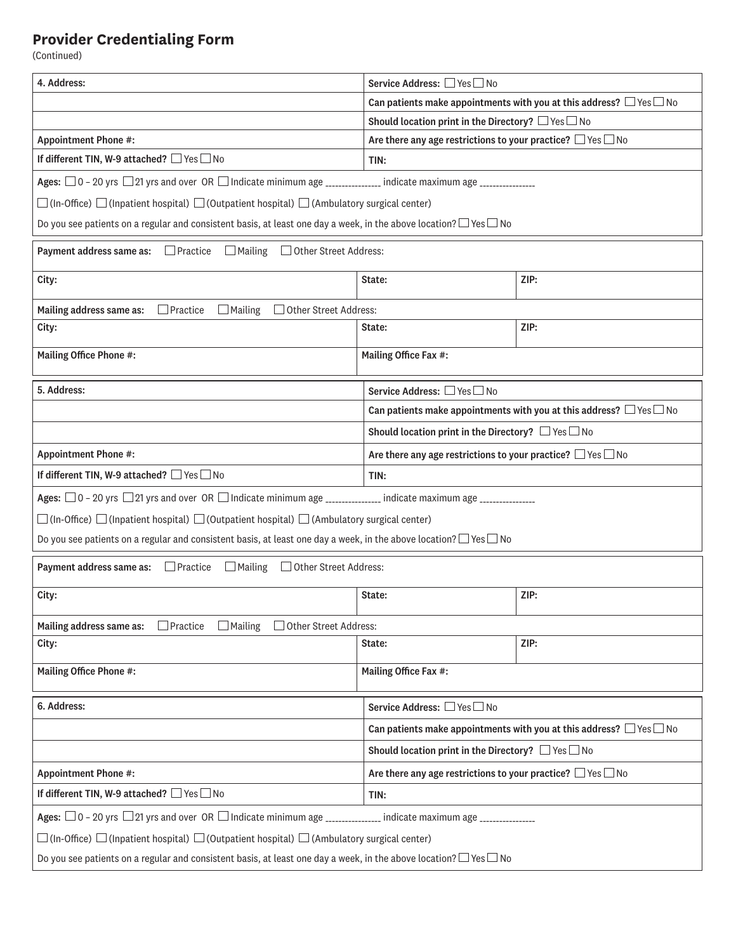(Continued)

| 4. Address:<br>Service Address: □ Yes □ No<br>Can patients make appointments with you at this address? $\Box$ Yes $\Box$ No<br>Should location print in the Directory? $\Box$ Yes $\Box$ No |                                                                                                                             |  |  |  |  |
|---------------------------------------------------------------------------------------------------------------------------------------------------------------------------------------------|-----------------------------------------------------------------------------------------------------------------------------|--|--|--|--|
|                                                                                                                                                                                             |                                                                                                                             |  |  |  |  |
|                                                                                                                                                                                             |                                                                                                                             |  |  |  |  |
| <b>Appointment Phone #:</b><br>Are there any age restrictions to your practice? $\Box$ Yes $\Box$ No                                                                                        |                                                                                                                             |  |  |  |  |
| If different TIN, W-9 attached? □ Yes □ No<br>TIN:                                                                                                                                          |                                                                                                                             |  |  |  |  |
|                                                                                                                                                                                             |                                                                                                                             |  |  |  |  |
| Ages: $\Box$ 0 - 20 yrs $\Box$ 21 yrs and over OR $\Box$ Indicate minimum age ______________________ indicate maximum age __________________                                                |                                                                                                                             |  |  |  |  |
| $\Box$ (In-Office) $\Box$ (Inpatient hospital) $\Box$ (Outpatient hospital) $\Box$ (Ambulatory surgical center)                                                                             |                                                                                                                             |  |  |  |  |
| Do you see patients on a regular and consistent basis, at least one day a week, in the above location? $\Box$ Yes $\Box$ No                                                                 |                                                                                                                             |  |  |  |  |
| <b>Payment address same as:</b> $\Box$ Practice $\Box$ Mailing $\Box$ Other Street Address:                                                                                                 |                                                                                                                             |  |  |  |  |
| ZIP:<br>City:<br>State:                                                                                                                                                                     |                                                                                                                             |  |  |  |  |
| □ Other Street Address:<br>$\Box$ Practice<br>$\Box$ Mailing<br>Mailing address same as:                                                                                                    |                                                                                                                             |  |  |  |  |
| ZIP:<br>City:<br>State:                                                                                                                                                                     |                                                                                                                             |  |  |  |  |
| Mailing Office Phone #:<br>Mailing Office Fax #:                                                                                                                                            |                                                                                                                             |  |  |  |  |
| 5. Address:<br>Service Address: □ Yes □ No                                                                                                                                                  |                                                                                                                             |  |  |  |  |
| Can patients make appointments with you at this address? $\Box$ Yes $\Box$ No                                                                                                               |                                                                                                                             |  |  |  |  |
| Should location print in the Directory? $\Box$ Yes $\Box$ No                                                                                                                                |                                                                                                                             |  |  |  |  |
| <b>Appointment Phone #:</b>                                                                                                                                                                 |                                                                                                                             |  |  |  |  |
|                                                                                                                                                                                             | Are there any age restrictions to your practice? $\Box$ Yes $\Box$ No                                                       |  |  |  |  |
| If different TIN, W-9 attached? □ Yes □ No<br>TIN:                                                                                                                                          |                                                                                                                             |  |  |  |  |
| Ages: $\Box$ 0 - 20 yrs $\Box$ 21 yrs and over OR $\Box$ Indicate minimum age ______________________ indicate maximum age __________________                                                |                                                                                                                             |  |  |  |  |
| $\Box$ (In-Office) $\Box$ (Inpatient hospital) $\Box$ (Outpatient hospital) $\Box$ (Ambulatory surgical center)                                                                             |                                                                                                                             |  |  |  |  |
| Do you see patients on a regular and consistent basis, at least one day a week, in the above location? $\Box$ Yes $\Box$ No                                                                 |                                                                                                                             |  |  |  |  |
| $\Box$ Practice<br>$\Box$ Mailing<br>□ Other Street Address:<br>Payment address same as:                                                                                                    |                                                                                                                             |  |  |  |  |
| ZIP:<br>City:<br>State:                                                                                                                                                                     |                                                                                                                             |  |  |  |  |
|                                                                                                                                                                                             |                                                                                                                             |  |  |  |  |
| Mailing address same as:<br>$\Box$ Mailing<br>□ Other Street Address:<br>$\Box$ Practice<br>ZIP:<br>City:<br>State:                                                                         |                                                                                                                             |  |  |  |  |
|                                                                                                                                                                                             |                                                                                                                             |  |  |  |  |
| Mailing Office Phone #:<br>Mailing Office Fax #:                                                                                                                                            |                                                                                                                             |  |  |  |  |
| 6. Address:<br>Service Address: □ Yes □ No                                                                                                                                                  |                                                                                                                             |  |  |  |  |
|                                                                                                                                                                                             | Can patients make appointments with you at this address? $\Box$ Yes $\Box$ No                                               |  |  |  |  |
| Should location print in the Directory? $\Box$ Yes $\Box$ No                                                                                                                                |                                                                                                                             |  |  |  |  |
| Are there any age restrictions to your practice? $\Box$ Yes $\Box$ No<br><b>Appointment Phone #:</b>                                                                                        |                                                                                                                             |  |  |  |  |
| If different TIN, W-9 attached? □ Yes □ No<br>TIN:                                                                                                                                          |                                                                                                                             |  |  |  |  |
|                                                                                                                                                                                             |                                                                                                                             |  |  |  |  |
| $\Box$ (In-Office) $\Box$ (Inpatient hospital) $\Box$ (Outpatient hospital) $\Box$ (Ambulatory surgical center)                                                                             |                                                                                                                             |  |  |  |  |
|                                                                                                                                                                                             | Do you see patients on a regular and consistent basis, at least one day a week, in the above location? $\Box$ Yes $\Box$ No |  |  |  |  |